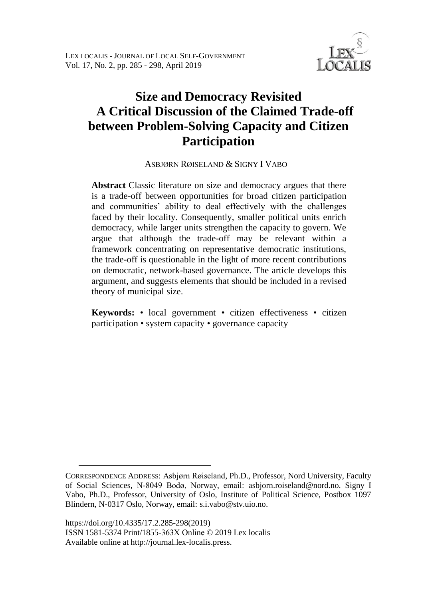

# **Size and Democracy Revisited A Critical Discussion of the Claimed Trade-off between Problem-Solving Capacity and Citizen Participation**

ASBJØRN RØISELAND & SIGNY I VABO <sup>1</sup>

**Abstract** Classic literature on size and democracy argues that there is a trade-off between opportunities for broad citizen participation and communities' ability to deal effectively with the challenges faced by their locality. Consequently, smaller political units enrich democracy, while larger units strengthen the capacity to govern. We argue that although the trade-off may be relevant within a framework concentrating on representative democratic institutions, the trade-off is questionable in the light of more recent contributions on democratic, network-based governance. The article develops this argument, and suggests elements that should be included in a revised theory of municipal size.

**Keywords:** • local government • citizen effectiveness • citizen participation • system capacity • governance capacity

<u>.</u>

CORRESPONDENCE ADDRESS: Asbjørn Røiseland, Ph.D., Professor, Nord University, Faculty of Social Sciences, N-8049 Bodø, Norway, email: asbjorn.roiseland@nord.no. Signy I Vabo, Ph.D., Professor, University of Oslo, Institute of Political Science, Postbox 1097 Blindern, N-0317 Oslo, Norway, email: s.i.vabo@stv.uio.no.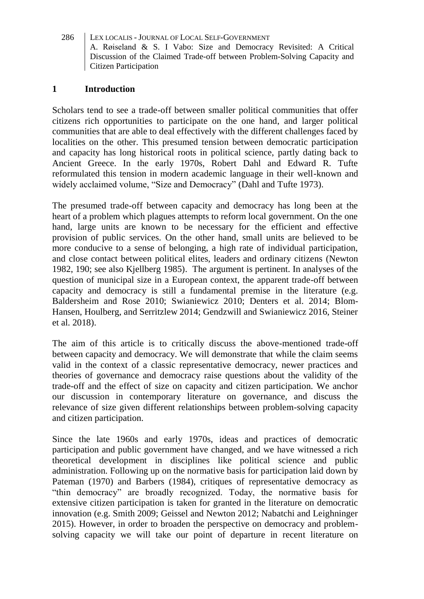# **1 Introduction**

Scholars tend to see a trade-off between smaller political communities that offer citizens rich opportunities to participate on the one hand, and larger political communities that are able to deal effectively with the different challenges faced by localities on the other. This presumed tension between democratic participation and capacity has long historical roots in political science, partly dating back to Ancient Greece. In the early 1970s, Robert Dahl and Edward R. Tufte reformulated this tension in modern academic language in their well-known and widely acclaimed volume, "Size and Democracy" (Dahl and Tufte 1973).

The presumed trade-off between capacity and democracy has long been at the heart of a problem which plagues attempts to reform local government. On the one hand, large units are known to be necessary for the efficient and effective provision of public services. On the other hand, small units are believed to be more conducive to a sense of belonging, a high rate of individual participation, and close contact between political elites, leaders and ordinary citizens (Newton 1982, 190; see also Kjellberg 1985). The argument is pertinent. In analyses of the question of municipal size in a European context, the apparent trade-off between capacity and democracy is still a fundamental premise in the literature (e.g. Baldersheim and Rose 2010; Swianiewicz 2010; Denters et al. 2014; Blom-Hansen, Houlberg, and Serritzlew 2014; Gendzwill and Swianiewicz 2016, Steiner et al. 2018).

The aim of this article is to critically discuss the above-mentioned trade-off between capacity and democracy. We will demonstrate that while the claim seems valid in the context of a classic representative democracy, newer practices and theories of governance and democracy raise questions about the validity of the trade-off and the effect of size on capacity and citizen participation. We anchor our discussion in contemporary literature on governance, and discuss the relevance of size given different relationships between problem-solving capacity and citizen participation.

Since the late 1960s and early 1970s, ideas and practices of democratic participation and public government have changed, and we have witnessed a rich theoretical development in disciplines like political science and public administration. Following up on the normative basis for participation laid down by Pateman (1970) and Barbers (1984), critiques of representative democracy as "thin democracy" are broadly recognized. Today, the normative basis for extensive citizen participation is taken for granted in the literature on democratic innovation (e.g. Smith 2009; Geissel and Newton 2012; Nabatchi and Leighninger 2015). However, in order to broaden the perspective on democracy and problemsolving capacity we will take our point of departure in recent literature on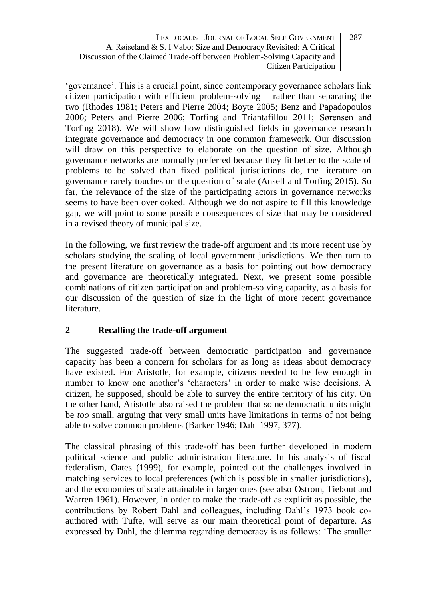'governance'. This is a crucial point, since contemporary governance scholars link citizen participation with efficient problem-solving – rather than separating the two (Rhodes 1981; Peters and Pierre 2004; Boyte 2005; Benz and Papadopoulos 2006; Peters and Pierre 2006; Torfing and Triantafillou 2011; Sørensen and Torfing 2018). We will show how distinguished fields in governance research integrate governance and democracy in one common framework. Our discussion will draw on this perspective to elaborate on the question of size. Although governance networks are normally preferred because they fit better to the scale of problems to be solved than fixed political jurisdictions do, the literature on governance rarely touches on the question of scale (Ansell and Torfing 2015). So far, the relevance of the size of the participating actors in governance networks seems to have been overlooked. Although we do not aspire to fill this knowledge gap, we will point to some possible consequences of size that may be considered in a revised theory of municipal size.

In the following, we first review the trade-off argument and its more recent use by scholars studying the scaling of local government jurisdictions. We then turn to the present literature on governance as a basis for pointing out how democracy and governance are theoretically integrated. Next, we present some possible combinations of citizen participation and problem-solving capacity, as a basis for our discussion of the question of size in the light of more recent governance literature.

# **2 Recalling the trade-off argument**

The suggested trade-off between democratic participation and governance capacity has been a concern for scholars for as long as ideas about democracy have existed. For Aristotle, for example, citizens needed to be few enough in number to know one another's 'characters' in order to make wise decisions. A citizen, he supposed, should be able to survey the entire territory of his city. On the other hand, Aristotle also raised the problem that some democratic units might be *too* small, arguing that very small units have limitations in terms of not being able to solve common problems (Barker 1946; Dahl 1997, 377).

The classical phrasing of this trade-off has been further developed in modern political science and public administration literature. In his analysis of fiscal federalism, Oates (1999), for example, pointed out the challenges involved in matching services to local preferences (which is possible in smaller jurisdictions), and the economies of scale attainable in larger ones (see also Ostrom, Tiebout and Warren 1961). However, in order to make the trade-off as explicit as possible, the contributions by Robert Dahl and colleagues, including Dahl's 1973 book coauthored with Tufte, will serve as our main theoretical point of departure. As expressed by Dahl, the dilemma regarding democracy is as follows: 'The smaller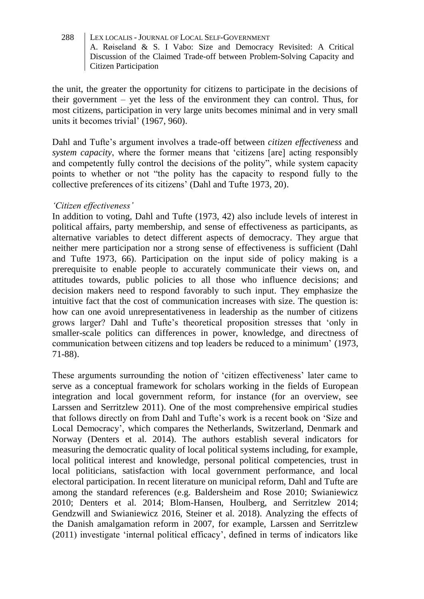the unit, the greater the opportunity for citizens to participate in the decisions of their government – yet the less of the environment they can control. Thus, for most citizens, participation in very large units becomes minimal and in very small units it becomes trivial' (1967, 960).

Dahl and Tufte's argument involves a trade-off between *citizen effectiveness* and *system capacity*, where the former means that 'citizens [are] acting responsibly and competently fully control the decisions of the polity", while system capacity points to whether or not "the polity has the capacity to respond fully to the collective preferences of its citizens' (Dahl and Tufte 1973, 20).

### *'Citizen effectiveness'*

In addition to voting, Dahl and Tufte (1973, 42) also include levels of interest in political affairs, party membership, and sense of effectiveness as participants, as alternative variables to detect different aspects of democracy. They argue that neither mere participation nor a strong sense of effectiveness is sufficient (Dahl and Tufte 1973, 66). Participation on the input side of policy making is a prerequisite to enable people to accurately communicate their views on, and attitudes towards, public policies to all those who influence decisions; and decision makers need to respond favorably to such input. They emphasize the intuitive fact that the cost of communication increases with size. The question is: how can one avoid unrepresentativeness in leadership as the number of citizens grows larger? Dahl and Tufte's theoretical proposition stresses that 'only in smaller-scale politics can differences in power, knowledge, and directness of communication between citizens and top leaders be reduced to a minimum' (1973, 71-88).

These arguments surrounding the notion of 'citizen effectiveness' later came to serve as a conceptual framework for scholars working in the fields of European integration and local government reform, for instance (for an overview, see Larssen and Serritzlew 2011). One of the most comprehensive empirical studies that follows directly on from Dahl and Tufte's work is a recent book on 'Size and Local Democracy', which compares the Netherlands, Switzerland, Denmark and Norway (Denters et al. 2014). The authors establish several indicators for measuring the democratic quality of local political systems including, for example, local political interest and knowledge, personal political competencies, trust in local politicians, satisfaction with local government performance, and local electoral participation. In recent literature on municipal reform, Dahl and Tufte are among the standard references (e.g. Baldersheim and Rose 2010; Swianiewicz 2010; Denters et al. 2014; Blom-Hansen, Houlberg, and Serritzlew 2014; Gendzwill and Swianiewicz 2016, Steiner et al. 2018). Analyzing the effects of the Danish amalgamation reform in 2007, for example, Larssen and Serritzlew (2011) investigate 'internal political efficacy', defined in terms of indicators like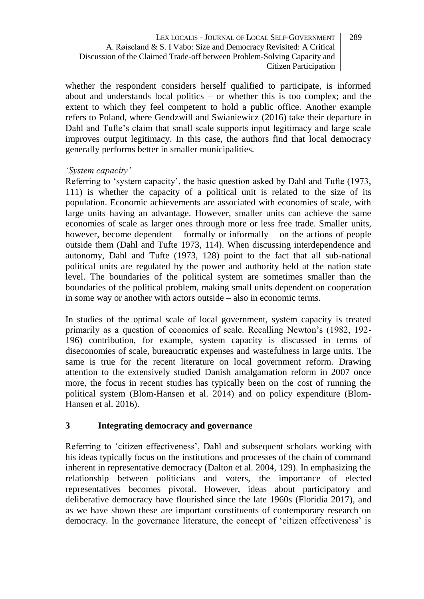whether the respondent considers herself qualified to participate, is informed about and understands local politics – or whether this is too complex; and the extent to which they feel competent to hold a public office. Another example refers to Poland, where Gendzwill and Swianiewicz (2016) take their departure in Dahl and Tufte's claim that small scale supports input legitimacy and large scale improves output legitimacy. In this case, the authors find that local democracy generally performs better in smaller municipalities.

## *'System capacity'*

Referring to 'system capacity', the basic question asked by Dahl and Tufte (1973, 111) is whether the capacity of a political unit is related to the size of its population. Economic achievements are associated with economies of scale, with large units having an advantage. However, smaller units can achieve the same economies of scale as larger ones through more or less free trade. Smaller units, however, become dependent – formally or informally – on the actions of people outside them (Dahl and Tufte 1973, 114). When discussing interdependence and autonomy, Dahl and Tufte (1973, 128) point to the fact that all sub-national political units are regulated by the power and authority held at the nation state level. The boundaries of the political system are sometimes smaller than the boundaries of the political problem, making small units dependent on cooperation in some way or another with actors outside – also in economic terms.

In studies of the optimal scale of local government, system capacity is treated primarily as a question of economies of scale. Recalling Newton's (1982, 192- 196) contribution, for example, system capacity is discussed in terms of diseconomies of scale, bureaucratic expenses and wastefulness in large units. The same is true for the recent literature on local government reform. Drawing attention to the extensively studied Danish amalgamation reform in 2007 once more, the focus in recent studies has typically been on the cost of running the political system (Blom-Hansen et al. 2014) and on policy expenditure (Blom-Hansen et al. 2016).

# **3 Integrating democracy and governance**

Referring to 'citizen effectiveness', Dahl and subsequent scholars working with his ideas typically focus on the institutions and processes of the chain of command inherent in representative democracy (Dalton et al. 2004, 129). In emphasizing the relationship between politicians and voters, the importance of elected representatives becomes pivotal. However, ideas about participatory and deliberative democracy have flourished since the late 1960s (Floridia 2017), and as we have shown these are important constituents of contemporary research on democracy. In the governance literature, the concept of 'citizen effectiveness' is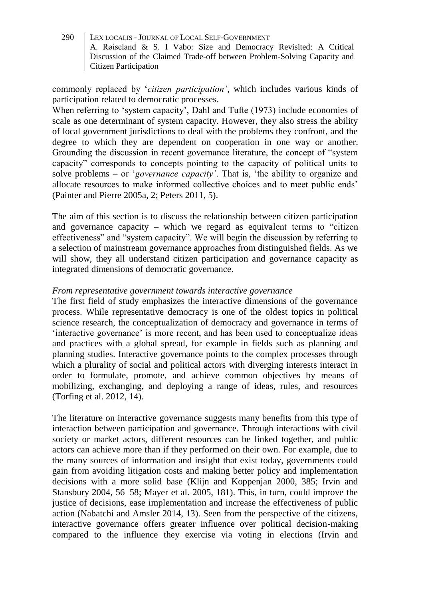commonly replaced by '*citizen participation'*, which includes various kinds of participation related to democratic processes.

When referring to 'system capacity', Dahl and Tufte (1973) include economies of scale as one determinant of system capacity. However, they also stress the ability of local government jurisdictions to deal with the problems they confront, and the degree to which they are dependent on cooperation in one way or another. Grounding the discussion in recent governance literature, the concept of "system capacity" corresponds to concepts pointing to the capacity of political units to solve problems – or '*governance capacity'*. That is, 'the ability to organize and allocate resources to make informed collective choices and to meet public ends' (Painter and Pierre 2005a, 2; Peters 2011, 5).

The aim of this section is to discuss the relationship between citizen participation and governance capacity – which we regard as equivalent terms to "citizen effectiveness" and "system capacity". We will begin the discussion by referring to a selection of mainstream governance approaches from distinguished fields. As we will show, they all understand citizen participation and governance capacity as integrated dimensions of democratic governance.

### *From representative government towards interactive governance*

The first field of study emphasizes the interactive dimensions of the governance process. While representative democracy is one of the oldest topics in political science research, the conceptualization of democracy and governance in terms of 'interactive governance' is more recent, and has been used to conceptualize ideas and practices with a global spread, for example in fields such as planning and planning studies. Interactive governance points to the complex processes through which a plurality of social and political actors with diverging interests interact in order to formulate, promote, and achieve common objectives by means of mobilizing, exchanging, and deploying a range of ideas, rules, and resources (Torfing et al. 2012, 14).

The literature on interactive governance suggests many benefits from this type of interaction between participation and governance. Through interactions with civil society or market actors, different resources can be linked together, and public actors can achieve more than if they performed on their own. For example, due to the many sources of information and insight that exist today, governments could gain from avoiding litigation costs and making better policy and implementation decisions with a more solid base (Klijn and Koppenjan 2000, 385; Irvin and Stansbury 2004, 56–58; Mayer et al. 2005, 181). This, in turn, could improve the justice of decisions, ease implementation and increase the effectiveness of public action (Nabatchi and Amsler 2014, 13). Seen from the perspective of the citizens, interactive governance offers greater influence over political decision-making compared to the influence they exercise via voting in elections (Irvin and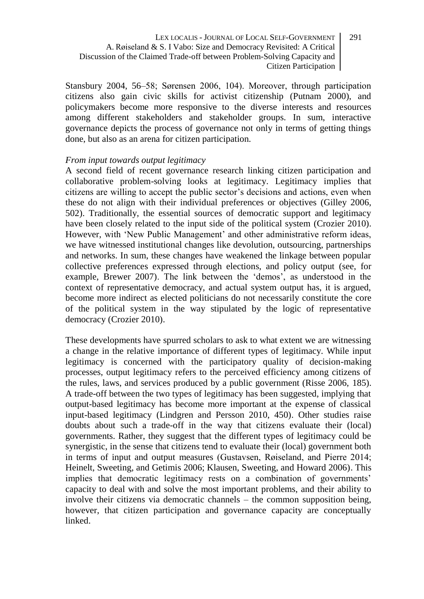Stansbury 2004, 56–58; Sørensen 2006, 104). Moreover, through participation citizens also gain civic skills for activist citizenship (Putnam 2000), and policymakers become more responsive to the diverse interests and resources among different stakeholders and stakeholder groups. In sum, interactive governance depicts the process of governance not only in terms of getting things done, but also as an arena for citizen participation.

#### *From input towards output legitimacy*

A second field of recent governance research linking citizen participation and collaborative problem-solving looks at legitimacy. Legitimacy implies that citizens are willing to accept the public sector's decisions and actions, even when these do not align with their individual preferences or objectives (Gilley 2006, 502). Traditionally, the essential sources of democratic support and legitimacy have been closely related to the input side of the political system (Crozier 2010). However, with 'New Public Management' and other administrative reform ideas, we have witnessed institutional changes like devolution, outsourcing, partnerships and networks. In sum, these changes have weakened the linkage between popular collective preferences expressed through elections, and policy output (see, for example, Brewer 2007). The link between the 'demos', as understood in the context of representative democracy, and actual system output has, it is argued, become more indirect as elected politicians do not necessarily constitute the core of the political system in the way stipulated by the logic of representative democracy (Crozier 2010).

These developments have spurred scholars to ask to what extent we are witnessing a change in the relative importance of different types of legitimacy. While input legitimacy is concerned with the participatory quality of decision-making processes, output legitimacy refers to the perceived efficiency among citizens of the rules, laws, and services produced by a public government (Risse 2006, 185). A trade-off between the two types of legitimacy has been suggested, implying that output-based legitimacy has become more important at the expense of classical input-based legitimacy (Lindgren and Persson 2010, 450). Other studies raise doubts about such a trade-off in the way that citizens evaluate their (local) governments. Rather, they suggest that the different types of legitimacy could be synergistic, in the sense that citizens tend to evaluate their (local) government both in terms of input and output measures (Gustavsen, Røiseland, and Pierre 2014; Heinelt, Sweeting, and Getimis 2006; Klausen, Sweeting, and Howard 2006). This implies that democratic legitimacy rests on a combination of governments' capacity to deal with and solve the most important problems, and their ability to involve their citizens via democratic channels – the common supposition being, however, that citizen participation and governance capacity are conceptually linked.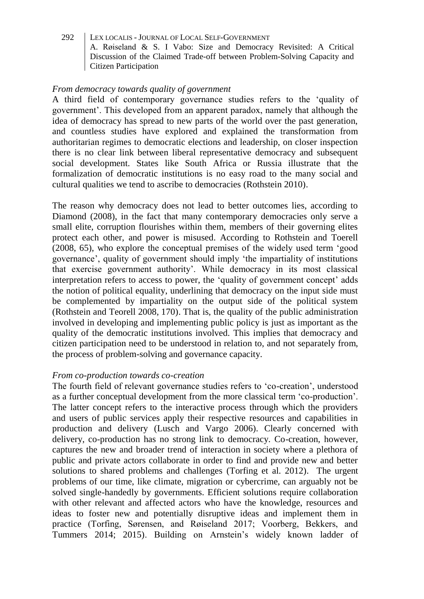#### *From democracy towards quality of government*

A third field of contemporary governance studies refers to the 'quality of government'. This developed from an apparent paradox, namely that although the idea of democracy has spread to new parts of the world over the past generation, and countless studies have explored and explained the transformation from authoritarian regimes to democratic elections and leadership, on closer inspection there is no clear link between liberal representative democracy and subsequent social development. States like South Africa or Russia illustrate that the formalization of democratic institutions is no easy road to the many social and cultural qualities we tend to ascribe to democracies (Rothstein 2010).

The reason why democracy does not lead to better outcomes lies, according to Diamond (2008), in the fact that many contemporary democracies only serve a small elite, corruption flourishes within them, members of their governing elites protect each other, and power is misused. According to Rothstein and Toerell (2008, 65), who explore the conceptual premises of the widely used term 'good governance', quality of government should imply 'the impartiality of institutions that exercise government authority'. While democracy in its most classical interpretation refers to access to power, the 'quality of government concept' adds the notion of political equality, underlining that democracy on the input side must be complemented by impartiality on the output side of the political system (Rothstein and Teorell 2008, 170). That is, the quality of the public administration involved in developing and implementing public policy is just as important as the quality of the democratic institutions involved. This implies that democracy and citizen participation need to be understood in relation to, and not separately from, the process of problem-solving and governance capacity.

## *From co-production towards co-creation*

The fourth field of relevant governance studies refers to 'co-creation', understood as a further conceptual development from the more classical term 'co-production'. The latter concept refers to the interactive process through which the providers and users of public services apply their respective resources and capabilities in production and delivery (Lusch and Vargo 2006). Clearly concerned with delivery, co-production has no strong link to democracy. Co-creation, however, captures the new and broader trend of interaction in society where a plethora of public and private actors collaborate in order to find and provide new and better solutions to shared problems and challenges (Torfing et al. 2012). The urgent problems of our time, like climate, migration or cybercrime, can arguably not be solved single-handedly by governments. Efficient solutions require collaboration with other relevant and affected actors who have the knowledge, resources and ideas to foster new and potentially disruptive ideas and implement them in practice (Torfing, Sørensen, and Røiseland 2017; Voorberg, Bekkers, and Tummers 2014; 2015). Building on Arnstein's widely known ladder of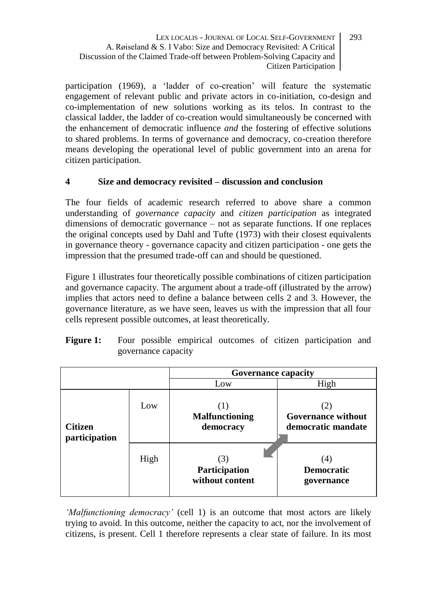participation (1969), a 'ladder of co-creation' will feature the systematic engagement of relevant public and private actors in co-initiation, co-design and co-implementation of new solutions working as its telos. In contrast to the classical ladder, the ladder of co-creation would simultaneously be concerned with the enhancement of democratic influence *and* the fostering of effective solutions to shared problems. In terms of governance and democracy, co-creation therefore means developing the operational level of public government into an arena for citizen participation.

# **4 Size and democracy revisited – discussion and conclusion**

The four fields of academic research referred to above share a common understanding of *governance capacity* and *citizen participation* as integrated dimensions of democratic governance – not as separate functions. If one replaces the original concepts used by Dahl and Tufte (1973) with their closest equivalents in governance theory - governance capacity and citizen participation - one gets the impression that the presumed trade-off can and should be questioned.

Figure 1 illustrates four theoretically possible combinations of citizen participation and governance capacity. The argument about a trade-off (illustrated by the arrow) implies that actors need to define a balance between cells 2 and 3. However, the governance literature, as we have seen, leaves us with the impression that all four cells represent possible outcomes, at least theoretically.

| <b>Figure 1:</b> |                     |  |  |  |  |  | Four possible empirical outcomes of citizen participation and |  |
|------------------|---------------------|--|--|--|--|--|---------------------------------------------------------------|--|
|                  | governance capacity |  |  |  |  |  |                                                               |  |

|                                 |      | <b>Governance capacity</b>             |                                                 |  |  |
|---------------------------------|------|----------------------------------------|-------------------------------------------------|--|--|
|                                 |      | Low                                    | High                                            |  |  |
| <b>Citizen</b><br>participation | Low  | <b>Malfunctioning</b><br>democracy     | (2)<br>Governance without<br>democratic mandate |  |  |
|                                 | High | 3)<br>Participation<br>without content | (4)<br><b>Democratic</b><br>governance          |  |  |

*'Malfunctioning democracy'* (cell 1) is an outcome that most actors are likely trying to avoid. In this outcome, neither the capacity to act, nor the involvement of citizens, is present. Cell 1 therefore represents a clear state of failure. In its most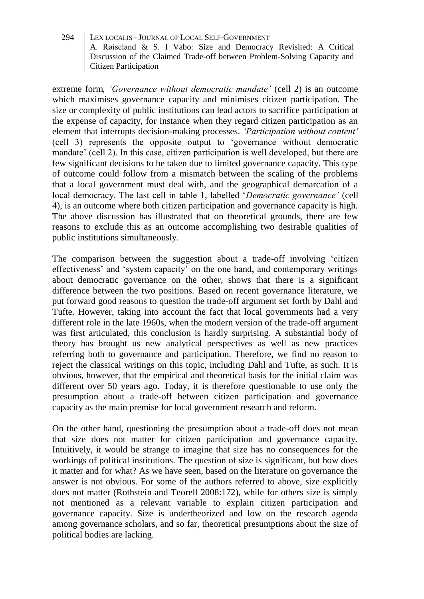extreme form*, 'Governance without democratic mandate'* (cell 2) is an outcome which maximises governance capacity and minimises citizen participation. The size or complexity of public institutions can lead actors to sacrifice participation at the expense of capacity, for instance when they regard citizen participation as an element that interrupts decision-making processes. *'Participation without content'* (cell 3) represents the opposite output to 'governance without democratic mandate' (cell 2). In this case, citizen participation is well developed, but there are few significant decisions to be taken due to limited governance capacity. This type of outcome could follow from a mismatch between the scaling of the problems that a local government must deal with, and the geographical demarcation of a local democracy. The last cell in table 1, labelled '*Democratic governance'* (cell 4), is an outcome where both citizen participation and governance capacity is high. The above discussion has illustrated that on theoretical grounds, there are few reasons to exclude this as an outcome accomplishing two desirable qualities of public institutions simultaneously.

The comparison between the suggestion about a trade-off involving 'citizen effectiveness' and 'system capacity' on the one hand, and contemporary writings about democratic governance on the other, shows that there is a significant difference between the two positions. Based on recent governance literature, we put forward good reasons to question the trade-off argument set forth by Dahl and Tufte. However, taking into account the fact that local governments had a very different role in the late 1960s, when the modern version of the trade-off argument was first articulated, this conclusion is hardly surprising. A substantial body of theory has brought us new analytical perspectives as well as new practices referring both to governance and participation. Therefore, we find no reason to reject the classical writings on this topic, including Dahl and Tufte, as such. It is obvious, however, that the empirical and theoretical basis for the initial claim was different over 50 years ago. Today, it is therefore questionable to use only the presumption about a trade-off between citizen participation and governance capacity as the main premise for local government research and reform.

On the other hand, questioning the presumption about a trade-off does not mean that size does not matter for citizen participation and governance capacity. Intuitively, it would be strange to imagine that size has no consequences for the workings of political institutions. The question of size is significant, but how does it matter and for what? As we have seen, based on the literature on governance the answer is not obvious. For some of the authors referred to above, size explicitly does not matter (Rothstein and Teorell 2008:172), while for others size is simply not mentioned as a relevant variable to explain citizen participation and governance capacity. Size is undertheorized and low on the research agenda among governance scholars, and so far, theoretical presumptions about the size of political bodies are lacking.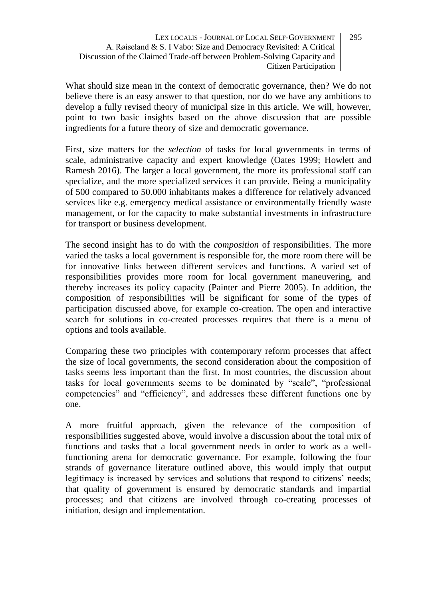What should size mean in the context of democratic governance, then? We do not believe there is an easy answer to that question, nor do we have any ambitions to develop a fully revised theory of municipal size in this article. We will, however, point to two basic insights based on the above discussion that are possible ingredients for a future theory of size and democratic governance.

First, size matters for the *selection* of tasks for local governments in terms of scale, administrative capacity and expert knowledge (Oates 1999; Howlett and Ramesh 2016). The larger a local government, the more its professional staff can specialize, and the more specialized services it can provide. Being a municipality of 500 compared to 50.000 inhabitants makes a difference for relatively advanced services like e.g. emergency medical assistance or environmentally friendly waste management, or for the capacity to make substantial investments in infrastructure for transport or business development.

The second insight has to do with the *composition* of responsibilities. The more varied the tasks a local government is responsible for, the more room there will be for innovative links between different services and functions. A varied set of responsibilities provides more room for local government maneuvering, and thereby increases its policy capacity (Painter and Pierre 2005). In addition, the composition of responsibilities will be significant for some of the types of participation discussed above, for example co-creation. The open and interactive search for solutions in co-created processes requires that there is a menu of options and tools available.

Comparing these two principles with contemporary reform processes that affect the size of local governments, the second consideration about the composition of tasks seems less important than the first. In most countries, the discussion about tasks for local governments seems to be dominated by "scale", "professional competencies" and "efficiency", and addresses these different functions one by one.

A more fruitful approach, given the relevance of the composition of responsibilities suggested above, would involve a discussion about the total mix of functions and tasks that a local government needs in order to work as a wellfunctioning arena for democratic governance. For example, following the four strands of governance literature outlined above, this would imply that output legitimacy is increased by services and solutions that respond to citizens' needs; that quality of government is ensured by democratic standards and impartial processes; and that citizens are involved through co-creating processes of initiation, design and implementation.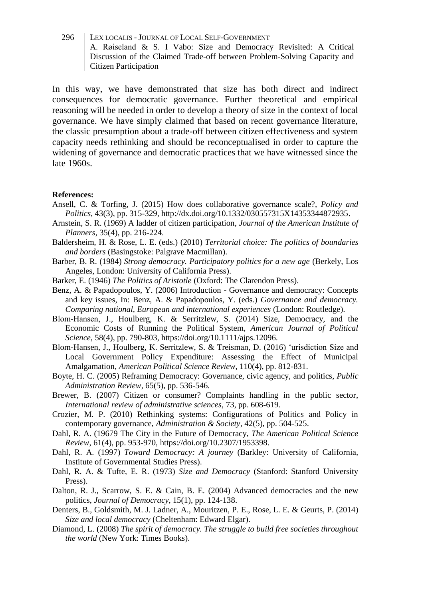In this way, we have demonstrated that size has both direct and indirect consequences for democratic governance. Further theoretical and empirical reasoning will be needed in order to develop a theory of size in the context of local governance. We have simply claimed that based on recent governance literature, the classic presumption about a trade-off between citizen effectiveness and system capacity needs rethinking and should be reconceptualised in order to capture the widening of governance and democratic practices that we have witnessed since the late 1960s.

#### **References:**

- Ansell, C. & Torfing, J. (2015) How does collaborative governance scale?, *Policy and Politics*, 43(3), pp. 315-329, http://dx.doi.org/10.1332/030557315X14353344872935.
- Arnstein, S. R. (1969) A ladder of citizen participation, *Journal of the American Institute of Planners*, 35(4), pp. 216-224.
- Baldersheim, H. & Rose, L. E. (eds.) (2010) *Territorial choice: The politics of boundaries and borders* (Basingstoke: Palgrave Macmillan).
- Barber, B. R. (1984) *Strong democracy. Participatory politics for a new age* (Berkely, Los Angeles, London: University of California Press).
- Barker, E. (1946) *The Politics of Aristotle* (Oxford: The Clarendon Press).
- Benz, A. & Papadopoulos, Y. (2006) Introduction Governance and democracy: Concepts and key issues, In: Benz, A. & Papadopoulos, Y. (eds.) *Governance and democracy. Comparing national, European and international experiences* (London: Routledge).
- Blom‐Hansen, J., Houlberg, K. & Serritzlew, S. (2014) Size, Democracy, and the Economic Costs of Running the Political System, *American Journal of Political Science*, 58(4), pp. 790-803, https://doi.org/10.1111/ajps.12096.
- Blom-Hansen, J., Houlberg, K. Serritzlew, S. & Treisman, D. (2016) 'urisdiction Size and Local Government Policy Expenditure: Assessing the Effect of Municipal Amalgamation, *American Political Science Review*, 110(4), pp. 812-831.
- Boyte, H. C. (2005) Reframing Democracy: Governance, civic agency, and politics, *Public Administration Review*, 65(5), pp. 536-546.
- Brewer, B. (2007) Citizen or consumer? Complaints handling in the public sector, *International review of administrative sciences*, 73, pp. 608-619.
- Crozier, M. P. (2010) Rethinking systems: Configurations of Politics and Policy in contemporary governance, *Administration & Society*, 42(5), pp. 504-525.
- Dahl, R. A. (19679 The City in the Future of Democracy, *The American Political Science Review*, 61(4), pp. 953-970, https://doi.org/10.2307/1953398.
- Dahl, R. A. (1997) *Toward Democracy: A journey* (Barkley: University of California, Institute of Governmental Studies Press).
- Dahl, R. A. & Tufte, E. R. (1973) *Size and Democracy* (Stanford: Stanford University Press).
- Dalton, R. J., Scarrow, S. E. & Cain, B. E. (2004) Advanced democracies and the new politics, *Journal of Democracy*, 15(1), pp. 124-138.
- Denters, B., Goldsmith, M. J. Ladner, A., Mouritzen, P. E., Rose, L. E. & Geurts, P. (2014) *Size and local democracy* (Cheltenham: Edward Elgar).
- Diamond, L. (2008) *The spirit of democracy. The struggle to build free societies throughout the world* (New York: Times Books).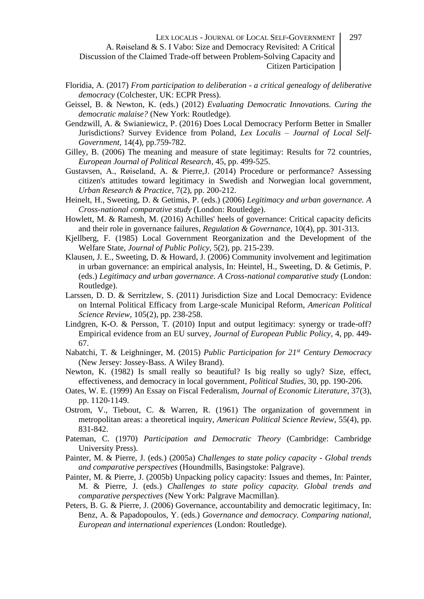- Floridia, A. (2017) *From participation to deliberation - a critical genealogy of deliberative democracy* (Colchester, UK: ECPR Press).
- Geissel, B. & Newton, K. (eds.) (2012) *Evaluating Democratic Innovations. Curing the democratic malaise?* (New York: Routledge).
- Gendzwill, A. & Swianiewicz, P. (2016) [Does Local Democracy Perform Better in Smaller](https://bibsys-almaprimo.hosted.exlibrisgroup.com/primo-explore/fulldisplay?docid=RS_615815374759ssurveyevidencefrompoland&context=SP&vid=UIO&lang=no_NO)  [Jurisdictions? Survey Evidence from Poland,](https://bibsys-almaprimo.hosted.exlibrisgroup.com/primo-explore/fulldisplay?docid=RS_615815374759ssurveyevidencefrompoland&context=SP&vid=UIO&lang=no_NO) *Lex Localis – Journal of Local Self-Government,* 14(4), pp.759-782.
- Gilley, B. (2006) The meaning and measure of state legitimay: Results for 72 countries, *European Journal of Political Research,* 45, pp. 499-525.
- Gustavsen, A., Røiseland, A. & Pierre,J. (2014) Procedure or performance? Assessing citizen's attitudes toward legitimacy in Swedish and Norwegian local government, *Urban Research & Practice,* 7(2), pp. 200-212.
- Heinelt, H., Sweeting, D. & Getimis, P. (eds.) (2006) *Legitimacy and urban governance. A Cross-national comparative study* (London: Routledge).
- Howlett, M. & Ramesh, M. (2016) Achilles' heels of governance: Critical capacity deficits and their role in governance failures, *Regulation & Governance*, 10(4), pp. 301-313.
- Kjellberg, F. (1985) Local Government Reorganization and the Development of the Welfare State, *Journal of Public Policy,* 5(2), pp. 215-239.
- Klausen, J. E., Sweeting, D. & Howard, J. (2006) Community involvement and legitimation in urban governance: an empirical analysis, In: Heintel, H., Sweeting, D. & Getimis, P. (eds.) *Legitimacy and urban governance. A Cross-national comparative study* (London: Routledge).
- Larssen, D. D. & Serritzlew, S. (2011) Jurisdiction Size and Local Democracy: Evidence on Internal Political Efficacy from Large-scale Municipal Reform, *American Political Science Review*, 105(2), pp. 238-258.
- Lindgren, K-O. & Persson, T. (2010) Input and output legitimacy: synergy or trade-off? Empirical evidence from an EU survey, *Journal of European Public Policy*, 4, pp. 449- 67.
- Nabatchi, T. & Leighninger, M. (2015) *Public Participation for 21st Century Democracy* (New Jersey: Jossey-Bass. A Wiley Brand).
- Newton, K. (1982) Is small really so beautiful? Is big really so ugly? Size, effect, effectiveness, and democracy in local government, *Political Studies,* 30, pp. 190-206.
- Oates, W. E. (1999) An Essay on Fiscal Federalism, *Journal of Economic Literature*, 37(3), pp. 1120-1149.
- Ostrom, V., Tiebout, C. & Warren, R. (1961) The organization of government in metropolitan areas: a theoretical inquiry, *American Political Science Review,* 55(4), pp. 831-842.
- Pateman, C. (1970) *Participation and Democratic Theory* (Cambridge: Cambridge University Press).
- Painter, M. & Pierre, J. (eds.) (2005a) *Challenges to state policy capacity - Global trends and comparative perspectives* (Houndmills, Basingstoke: Palgrave).
- Painter, M. & Pierre, J. (2005b) Unpacking policy capacity: Issues and themes, In: Painter, M. & Pierre, J. (eds.) *Challenges to state policy capacity. Global trends and comparative perspectives* (New York: Palgrave Macmillan).
- Peters, B. G. & Pierre, J. (2006) Governance, accountability and democratic legitimacy, In: Benz, A. & Papadopoulos, Y. (eds.) *Governance and democracy. Comparing national, European and international experiences* (London: Routledge).